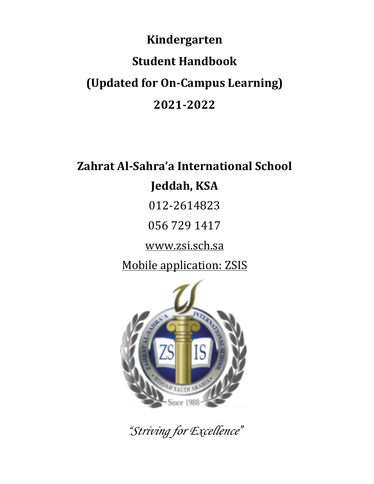# **Kindergarten Student Handbook (Updated for On-Campus Learning) 2021-2022**

# **Zahrat Al-Sahra'a International School** Jeddah, KSA

012-2614823

056 729 1417

www.zsi.sch.sa

Mobile application: ZSIS



*"Striving for Excellence"*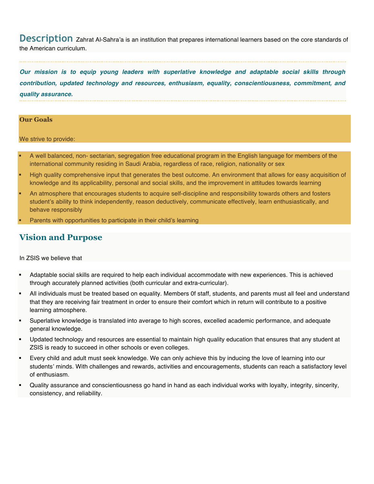**Description** Zahrat Al-Sahra'a is an institution that prepares international learners based on the core standards of<br>the American curriculum.

*Our mission is to equip young leaders with superlative knowledge and adaptable social skills through contribution, updated technology and resources, enthusiasm, equality, conscientiousness, commitment, and quality assurance.* 

#### **Our Goals**

We strive to provide:

- § A well balanced, non- sectarian, segregation free educational program in the English language for members of the international community residing in Saudi Arabia, regardless of race, religion, nationality or sex
- High quality comprehensive input that generates the best outcome. An environment that allows for easy acquisition of knowledge and its applicability, personal and social skills, and the improvement in attitudes towards learning
- § An atmosphere that encourages students to acquire self-discipline and responsibility towards others and fosters student's ability to think independently, reason deductively, communicate effectively, learn enthusiastically, and behave responsibly
- § Parents with opportunities to participate in their child's learning

## **Vision and Purpose**

In ZSIS we believe that

- § Adaptable social skills are required to help each individual accommodate with new experiences. This is achieved through accurately planned activities (both curricular and extra-curricular).
- All individuals must be treated based on equality. Members 0f staff, students, and parents must all feel and understand that they are receiving fair treatment in order to ensure their comfort which in return will contribute to a positive learning atmosphere.
- § Superlative knowledge is translated into average to high scores, excelled academic performance, and adequate general knowledge.
- Updated technology and resources are essential to maintain high quality education that ensures that any student at ZSIS is ready to succeed in other schools or even colleges.
- Every child and adult must seek knowledge. We can only achieve this by inducing the love of learning into our students' minds. With challenges and rewards, activities and encouragements, students can reach a satisfactory level of enthusiasm.
- § Quality assurance and conscientiousness go hand in hand as each individual works with loyalty, integrity, sincerity, consistency, and reliability.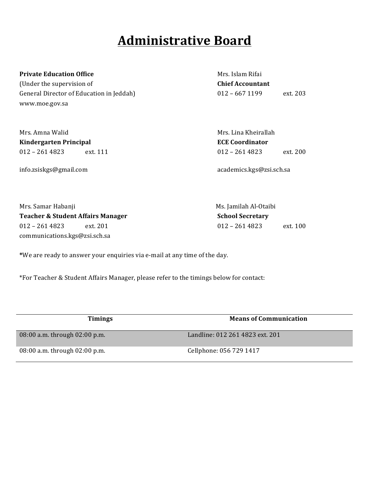## **Administrative Board**

#### **Private Education Office** Mrs. Islam Rifai

(Under the supervision of **Chief Accountant** General Director of Education in Jeddah) 012 - 667 1199 ext. 203 www.moe.gov.sa

| Mrs. Amna Walid               | Mrs. Lina Kheirallah        |
|-------------------------------|-----------------------------|
| <b>Kindergarten Principal</b> | <b>ECE Coordinator</b>      |
| $012 - 2614823$<br>ext. 111   | $012 - 2614823$<br>ext. 200 |
| info.zsiskgs@gmail.com        | academics.kgs@zsi.sch.sa    |

| Mrs. Samar Habanji<br>Teacher & Student Affairs Manager |          | Ms. Jamilah Al-Otaibi   |          |
|---------------------------------------------------------|----------|-------------------------|----------|
|                                                         |          | <b>School Secretary</b> |          |
| 012 – 261 4823                                          | ext. 201 | $012 - 2614823$         | ext. 100 |
| communications.kgs@zsi.sch.sa                           |          |                         |          |
|                                                         |          |                         |          |

\*We are ready to answer your enquiries via e-mail at any time of the day.

\*For Teacher & Student Affairs Manager, please refer to the timings below for contact:

| <b>Timings</b>                  | <b>Means of Communication</b>   |
|---------------------------------|---------------------------------|
| 08:00 a.m. through 02:00 p.m.   | Landline: 012 261 4823 ext. 201 |
| 08:00 a.m. through $02:00$ p.m. | Cellphone: 056 729 1417         |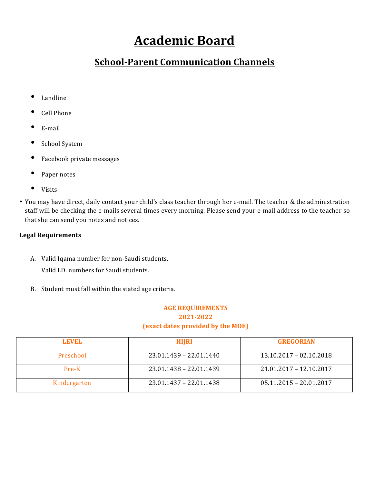# **Academic Board**

## **School-Parent Communication Channels**

- Landline
- Cell Phone
- E-mail
- School System
- Facebook private messages
- Paper notes
- Visits
- You may have direct, daily contact your child's class teacher through her e-mail. The teacher & the administration staff will be checking the e-mails several times every morning. Please send your e-mail address to the teacher so that she can send you notes and notices.

### **Legal Requirements**

A. Valid Iqama number for non-Saudi students.

Valid I.D. numbers for Saudi students.

B. Student must fall within the stated age criteria.

### **AGE REQUIREMENTS 2021-2022 (exact dates provided by the MOE)**

| LEVEL.       | <b>HIJRI</b>              | <b>GREGORIAN</b>          |
|--------------|---------------------------|---------------------------|
| Preschool    | $23.01.1439 - 22.01.1440$ | $13.10.2017 - 02.10.2018$ |
| $Pre-K$      | 23.01.1438 - 22.01.1439   | 21.01.2017 - 12.10.2017   |
| Kindergarten | $23.01.1437 - 22.01.1438$ | $05.11.2015 - 20.01.2017$ |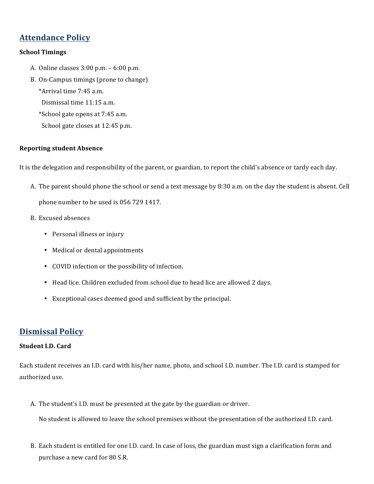## **Attendance Policy**

#### **School Timings**

- A. Online classes  $3:00$  p.m.  $-6:00$  p.m.
- B. On-Campus timings (prone to change)
	- \*Arrival time 7:45 a.m.
	- Dismissal time 11:15 a.m.
	- \*School gate opens at 7:45 a.m.
	- School gate closes at 12:45 p.m.

#### **Reporting student Absence**

It is the delegation and responsibility of the parent, or guardian, to report the child's absence or tardy each day.

- A. The parent should phone the school or send a text message by 8:30 a.m. on the day the student is absent. Cell phone number to be used is 056 729 1417.
- B. Excused absences
	- Personal illness or injury
	- Medical or dental appointments
	- COVID infection or the possibility of infection.
	- Head lice. Children excluded from school due to head lice are allowed 2 days.
	- Exceptional cases deemed good and sufficient by the principal.

## **Dismissal Policy**

#### **Student I.D. Card**

Each student receives an I.D. card with his/her name, photo, and school I.D. number. The I.D. card is stamped for authorized use.

A. The student's I.D. must be presented at the gate by the guardian or driver.

No student is allowed to leave the school premises without the presentation of the authorized I.D. card.

B. Each student is entitled for one I.D. card. In case of loss, the guardian must sign a clarification form and purchase a new card for 80 S.R.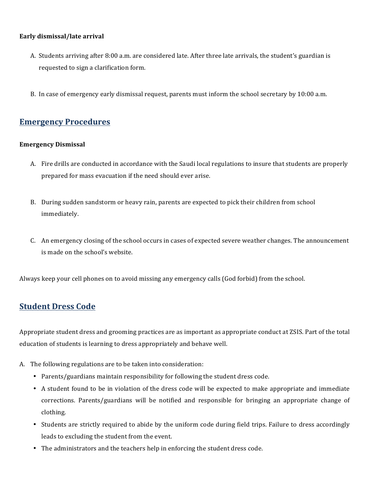#### **Early dismissal/late arrival**

- A. Students arriving after 8:00 a.m. are considered late. After three late arrivals, the student's guardian is requested to sign a clarification form.
- B. In case of emergency early dismissal request, parents must inform the school secretary by 10:00 a.m.

## **Emergency Procedures**

#### **Emergency Dismissal**

- A. Fire drills are conducted in accordance with the Saudi local regulations to insure that students are properly prepared for mass evacuation if the need should ever arise.
- B. During sudden sandstorm or heavy rain, parents are expected to pick their children from school immediately.
- C. An emergency closing of the school occurs in cases of expected severe weather changes. The announcement is made on the school's website.

Always keep your cell phones on to avoid missing any emergency calls (God forbid) from the school.

## **Student Dress Code**

Appropriate student dress and grooming practices are as important as appropriate conduct at ZSIS. Part of the total education of students is learning to dress appropriately and behave well.

- A. The following regulations are to be taken into consideration:
	- Parents/guardians maintain responsibility for following the student dress code.
	- A student found to be in violation of the dress code will be expected to make appropriate and immediate corrections. Parents/guardians will be notified and responsible for bringing an appropriate change of clothing.
	- Students are strictly required to abide by the uniform code during field trips. Failure to dress accordingly leads to excluding the student from the event.
	- The administrators and the teachers help in enforcing the student dress code.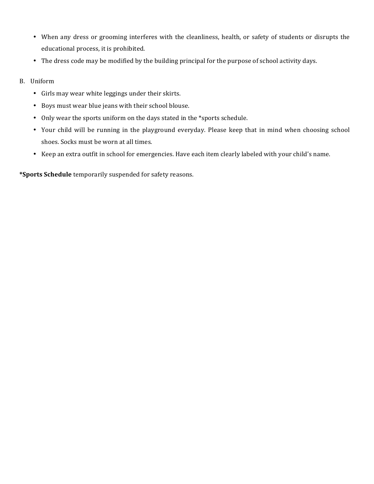- When any dress or grooming interferes with the cleanliness, health, or safety of students or disrupts the educational process, it is prohibited.
- The dress code may be modified by the building principal for the purpose of school activity days.
- B. Uniform
	- Girls may wear white leggings under their skirts.
	- Boys must wear blue jeans with their school blouse.
	- Only wear the sports uniform on the days stated in the \*sports schedule.
	- Your child will be running in the playground everyday. Please keep that in mind when choosing school shoes. Socks must be worn at all times.
	- Keep an extra outfit in school for emergencies. Have each item clearly labeled with your child's name.

**\*Sports Schedule** temporarily suspended for safety reasons.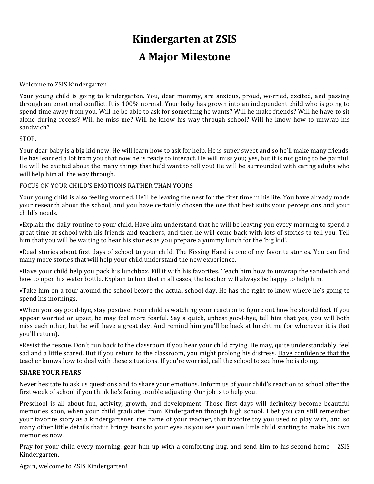## **Kindergarten at ZSIS**

## **A Major Milestone**

Welcome to ZSIS Kindergarten!

Your young child is going to kindergarten. You, dear mommy, are anxious, proud, worried, excited, and passing through an emotional conflict. It is 100% normal. Your baby has grown into an independent child who is going to spend time away from you. Will he be able to ask for something he wants? Will he make friends? Will he have to sit alone during recess? Will he miss me? Will he know his way through school? Will he know how to unwrap his sandwich? 

#### STOP.

Your dear baby is a big kid now. He will learn how to ask for help. He is super sweet and so he'll make many friends. He has learned a lot from you that now he is ready to interact. He will miss you; yes, but it is not going to be painful. He will be excited about the many things that he'd want to tell you! He will be surrounded with caring adults who will help him all the way through.

#### FOCUS ON YOUR CHILD'S EMOTIONS RATHER THAN YOURS

Your young child is also feeling worried. He'll be leaving the nest for the first time in his life. You have already made your research about the school, and you have certainly chosen the one that best suits your perceptions and your child's needs.

•Explain the daily routine to your child. Have him understand that he will be leaving you every morning to spend a great time at school with his friends and teachers, and then he will come back with lots of stories to tell you. Tell him that you will be waiting to hear his stories as you prepare a yummy lunch for the 'big kid'.

•Read stories about first days of school to your child. The Kissing Hand is one of my favorite stories. You can find many more stories that will help your child understand the new experience.

•Have your child help you pack his lunchbox. Fill it with his favorites. Teach him how to unwrap the sandwich and how to open his water bottle. Explain to him that in all cases, the teacher will always be happy to help him.

•Take him on a tour around the school before the actual school day. He has the right to know where he's going to spend his mornings.

•When you say good-bye, stay positive. Your child is watching your reaction to figure out how he should feel. If you appear worried or upset, he may feel more fearful. Say a quick, upbeat good-bye, tell him that yes, you will both miss each other, but he will have a great day. And remind him you'll be back at lunchtime (or whenever it is that you'll return).

•Resist the rescue. Don't run back to the classroom if you hear your child crying. He may, quite understandably, feel sad and a little scared. But if you return to the classroom, you might prolong his distress. Have confidence that the teacher knows how to deal with these situations. If you're worried, call the school to see how he is doing.

#### **SHARE YOUR FEARS**

Never hesitate to ask us questions and to share your emotions. Inform us of your child's reaction to school after the first week of school if you think he's facing trouble adjusting. Our job is to help you.

Preschool is all about fun, activity, growth, and development. Those first days will definitely become beautiful memories soon, when your child graduates from Kindergarten through high school. I bet you can still remember your favorite story as a kindergartener, the name of your teacher, that favorite toy you used to play with, and so many other little details that it brings tears to your eyes as you see your own little child starting to make his own memories now.

Pray for your child every morning, gear him up with a comforting hug, and send him to his second home – ZSIS Kindergarten.

Again, welcome to ZSIS Kindergarten!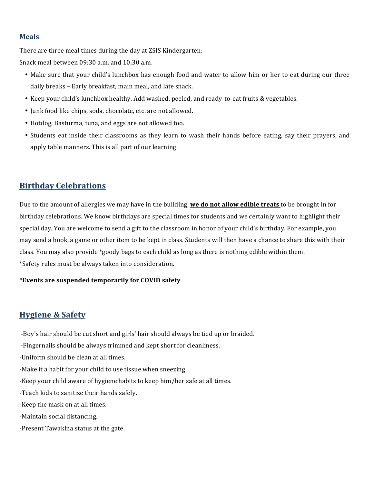#### **Meals**

There are three meal times during the day at ZSIS Kindergarten:

Snack meal between 09:30 a.m. and 10:30 a.m.

- Make sure that your child's lunchbox has enough food and water to allow him or her to eat during our three daily breaks - Early breakfast, main meal, and late snack.
- Keep your child's lunchbox healthy. Add washed, peeled, and ready-to-eat fruits & vegetables.
- Junk food like chips, soda, chocolate, etc. are not allowed.
- Hotdog, Basturma, tuna, and eggs are not allowed too.
- Students eat inside their classrooms as they learn to wash their hands before eating, say their prayers, and apply table manners. This is all part of our learning.

## **Birthday Celebrations**

Due to the amount of allergies we may have in the building, **we do not allow edible treats** to be brought in for birthday celebrations. We know birthdays are special times for students and we certainly want to highlight their special day. You are welcome to send a gift to the classroom in honor of your child's birthday. For example, you may send a book, a game or other item to be kept in class. Students will then have a chance to share this with their class. You may also provide \*goody bags to each child as long as there is nothing edible within them. \*Safety rules must be always taken into consideration.

#### **\*Events are suspended temporarily for COVID safety**

## **Hygiene & Safety**

-Boy's hair should be cut short and girls' hair should always be tied up or braided.

-Fingernails should be always trimmed and kept short for cleanliness.

-Uniform should be clean at all times.

- -Make it a habit for your child to use tissue when sneezing
- -Keep your child aware of hygiene habits to keep him/her safe at all times.
- -Teach kids to sanitize their hands safely.
- -Keep the mask on at all times.
- -Maintain social distancing.
- -Present Tawaklna status at the gate.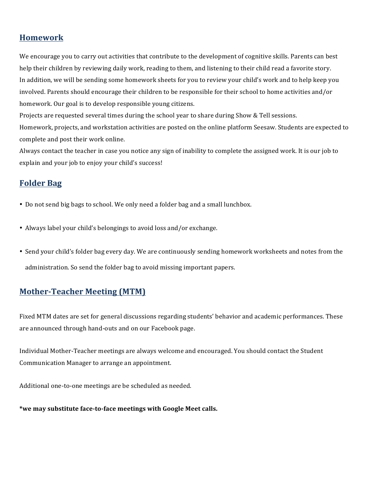## **Homework**

We encourage you to carry out activities that contribute to the development of cognitive skills. Parents can best help their children by reviewing daily work, reading to them, and listening to their child read a favorite story. In addition, we will be sending some homework sheets for you to review your child's work and to help keep you involved. Parents should encourage their children to be responsible for their school to home activities and/or homework. Our goal is to develop responsible young citizens.

Projects are requested several times during the school year to share during Show & Tell sessions. Homework, projects, and workstation activities are posted on the online platform Seesaw. Students are expected to complete and post their work online.

Always contact the teacher in case you notice any sign of inability to complete the assigned work. It is our job to explain and your job to enjoy your child's success!

## **Folder Bag**

- Do not send big bags to school. We only need a folder bag and a small lunchbox.
- Always label your child's belongings to avoid loss and/or exchange.
- Send your child's folder bag every day. We are continuously sending homework worksheets and notes from the administration. So send the folder bag to avoid missing important papers.

## **Mother-Teacher Meeting (MTM)**

Fixed MTM dates are set for general discussions regarding students' behavior and academic performances. These are announced through hand-outs and on our Facebook page.

Individual Mother-Teacher meetings are always welcome and encouraged. You should contact the Student Communication Manager to arrange an appointment.

Additional one-to-one meetings are be scheduled as needed.

\*we may substitute face-to-face meetings with Google Meet calls.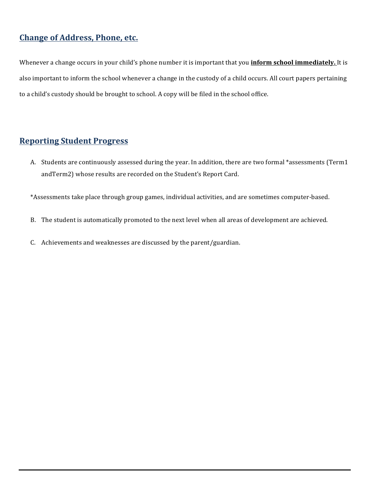## **Change of Address, Phone, etc.**

Whenever a change occurs in your child's phone number it is important that you **inform school immediately**. It is also important to inform the school whenever a change in the custody of a child occurs. All court papers pertaining to a child's custody should be brought to school. A copy will be filed in the school office.

## **Reporting Student Progress**

A. Students are continuously assessed during the year. In addition, there are two formal \*assessments (Term1 andTerm2) whose results are recorded on the Student's Report Card.

\*Assessments take place through group games, individual activities, and are sometimes computer-based.

- B. The student is automatically promoted to the next level when all areas of development are achieved.
- C. Achievements and weaknesses are discussed by the parent/guardian.